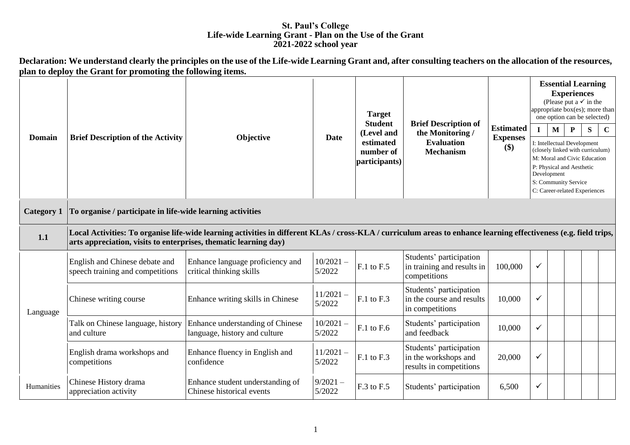## **St. Paul's College Life-wide Learning Grant - Plan on the Use of the Grant 2021-2022 school year**

**Declaration: We understand clearly the principles on the use of the Life-wide Learning Grant and, after consulting teachers on the allocation of the resources, plan to deploy the Grant for promoting the following items.** <u> 1989 - Johann Barbara, martxa alemaniar arg</u>

|                   | <b>Brief Description of the Activity</b><br><b>Objective</b>                                                                                                                                                                          |                                                                   | <b>Date</b>           | <b>Target</b><br><b>Student</b><br>(Level and<br>estimated<br>number of<br>participants) |                                                                            |                        | <b>Essential Learning</b><br><b>Experiences</b><br>(Please put a $\checkmark$ in the<br>appropriate $box(es)$ ; more than<br>one option can be selected)                                             |                   |           |             |  |  |
|-------------------|---------------------------------------------------------------------------------------------------------------------------------------------------------------------------------------------------------------------------------------|-------------------------------------------------------------------|-----------------------|------------------------------------------------------------------------------------------|----------------------------------------------------------------------------|------------------------|------------------------------------------------------------------------------------------------------------------------------------------------------------------------------------------------------|-------------------|-----------|-------------|--|--|
|                   |                                                                                                                                                                                                                                       |                                                                   |                       |                                                                                          | <b>Brief Description of</b><br>the Monitoring /                            | <b>Estimated</b>       | $\mathbf I$                                                                                                                                                                                          | $\mathbf{M}$<br>P | ${\bf S}$ | $\mathbf C$ |  |  |
| <b>Domain</b>     |                                                                                                                                                                                                                                       |                                                                   |                       |                                                                                          | <b>Evaluation</b><br><b>Mechanism</b>                                      | <b>Expenses</b><br>\$) | I: Intellectual Development<br>(closely linked with curriculum)<br>M: Moral and Civic Education<br>P: Physical and Aesthetic<br>Development<br>S: Community Service<br>C: Career-related Experiences |                   |           |             |  |  |
| <b>Category 1</b> | To organise / participate in life-wide learning activities                                                                                                                                                                            |                                                                   |                       |                                                                                          |                                                                            |                        |                                                                                                                                                                                                      |                   |           |             |  |  |
| 1.1               | Local Activities: To organise life-wide learning activities in different KLAs / cross-KLA / curriculum areas to enhance learning effectiveness (e.g. field trips,<br>arts appreciation, visits to enterprises, thematic learning day) |                                                                   |                       |                                                                                          |                                                                            |                        |                                                                                                                                                                                                      |                   |           |             |  |  |
|                   | English and Chinese debate and<br>speech training and competitions                                                                                                                                                                    | Enhance language proficiency and<br>critical thinking skills      | $10/2021 -$<br>5/2022 | F.1 to F.5                                                                               | Students' participation<br>in training and results in<br>competitions      | 100,000                | $\checkmark$                                                                                                                                                                                         |                   |           |             |  |  |
| Language          | Chinese writing course                                                                                                                                                                                                                | Enhance writing skills in Chinese                                 | $11/2021 -$<br>5/2022 | F.1 to F.3                                                                               | Students' participation<br>in the course and results<br>in competitions    | 10,000                 | $\checkmark$                                                                                                                                                                                         |                   |           |             |  |  |
|                   | Talk on Chinese language, history<br>and culture                                                                                                                                                                                      | Enhance understanding of Chinese<br>language, history and culture | $10/2021 -$<br>5/2022 | F.1 to F.6                                                                               | Students' participation<br>and feedback                                    | 10,000                 | $\checkmark$                                                                                                                                                                                         |                   |           |             |  |  |
|                   | English drama workshops and<br>competitions                                                                                                                                                                                           | Enhance fluency in English and<br>confidence                      | $11/2021 -$<br>5/2022 | F.1 to F.3                                                                               | Students' participation<br>in the workshops and<br>results in competitions | 20,000                 | $\checkmark$                                                                                                                                                                                         |                   |           |             |  |  |
| Humanities        | Chinese History drama<br>appreciation activity                                                                                                                                                                                        | Enhance student understanding of<br>Chinese historical events     | $9/2021 -$<br>5/2022  | F.3 to F.5                                                                               | Students' participation                                                    | 6,500                  | ✓                                                                                                                                                                                                    |                   |           |             |  |  |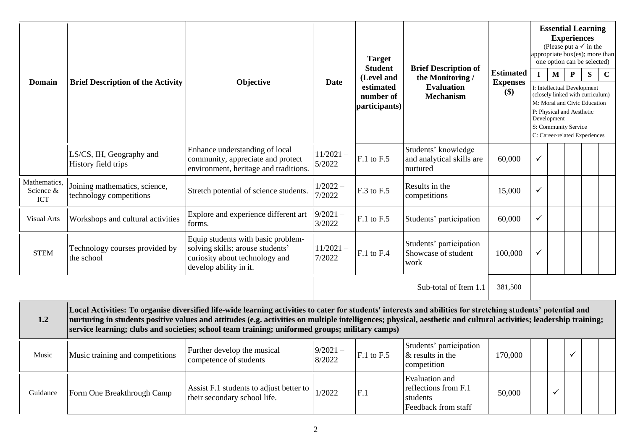|                                         |                                                          |                                                                                                                                    |                                                                      | <b>Target</b><br><b>Student</b> |                                                                                          |                                            | <b>Essential Learning</b><br><b>Experiences</b><br>(Please put a $\checkmark$ in the<br>appropriate box(es); more than<br>one option can be selected) |                             |                                                                                                                                                                                            |   |             |  |  |
|-----------------------------------------|----------------------------------------------------------|------------------------------------------------------------------------------------------------------------------------------------|----------------------------------------------------------------------|---------------------------------|------------------------------------------------------------------------------------------|--------------------------------------------|-------------------------------------------------------------------------------------------------------------------------------------------------------|-----------------------------|--------------------------------------------------------------------------------------------------------------------------------------------------------------------------------------------|---|-------------|--|--|
| <b>Domain</b>                           | <b>Brief Description of the Activity</b>                 | Objective                                                                                                                          | (Level and<br><b>Date</b><br>estimated<br>number of<br>participants) |                                 | <b>Brief Description of</b><br>the Monitoring /<br><b>Evaluation</b><br><b>Mechanism</b> | <b>Estimated</b><br><b>Expenses</b><br>\$) | $\mathbf{I}$                                                                                                                                          | $\mathbf{M}$<br>Development | P<br>I: Intellectual Development<br>(closely linked with curriculum)<br>M: Moral and Civic Education<br>P: Physical and Aesthetic<br>S: Community Service<br>C: Career-related Experiences | S | $\mathbf C$ |  |  |
|                                         | LS/CS, IH, Geography and<br>History field trips          | Enhance understanding of local<br>community, appreciate and protect<br>environment, heritage and traditions.                       | $11/2021 -$<br>5/2022                                                | F.1 to F.5                      | Students' knowledge<br>and analytical skills are<br>nurtured                             | 60,000                                     | $\checkmark$                                                                                                                                          |                             |                                                                                                                                                                                            |   |             |  |  |
| Mathematics,<br>Science &<br><b>ICT</b> | Joining mathematics, science,<br>technology competitions | Stretch potential of science students.                                                                                             | $1/2022 -$<br>7/2022                                                 | F.3 to F.5                      | Results in the<br>competitions                                                           | 15,000                                     | $\checkmark$                                                                                                                                          |                             |                                                                                                                                                                                            |   |             |  |  |
| <b>Visual Arts</b>                      | Workshops and cultural activities                        | Explore and experience different art<br>forms.                                                                                     | $9/2021 -$<br>3/2022                                                 | $F.1$ to $F.5$                  | Students' participation                                                                  | 60,000                                     | $\checkmark$                                                                                                                                          |                             |                                                                                                                                                                                            |   |             |  |  |
| <b>STEM</b>                             | Technology courses provided by<br>the school             | Equip students with basic problem-<br>solving skills; arouse students'<br>curiosity about technology and<br>develop ability in it. | $11/2021 -$<br>7/2022                                                | $F.1$ to $F.4$                  | Students' participation<br>Showcase of student<br>work                                   | 100,000                                    | ✓                                                                                                                                                     |                             |                                                                                                                                                                                            |   |             |  |  |
|                                         |                                                          |                                                                                                                                    |                                                                      |                                 | Sub-total of Item 1.1                                                                    | 381,500                                    |                                                                                                                                                       |                             |                                                                                                                                                                                            |   |             |  |  |

| 1.2      | Local Activities: To organise diversified life-wide learning activities to cater for students' interests and abilities for stretching students' potential and<br>nurturing in students positive values and attitudes (e.g. activities on multiple intelligences; physical, aesthetic and cultural activities; leadership training;<br>service learning; clubs and societies; school team training; uniformed groups; military camps) |                                                                         |                      |                |                                                                           |         |  |  |  |  |
|----------|--------------------------------------------------------------------------------------------------------------------------------------------------------------------------------------------------------------------------------------------------------------------------------------------------------------------------------------------------------------------------------------------------------------------------------------|-------------------------------------------------------------------------|----------------------|----------------|---------------------------------------------------------------------------|---------|--|--|--|--|
| Music    | Music training and competitions                                                                                                                                                                                                                                                                                                                                                                                                      | Further develop the musical<br>competence of students                   | $9/2021 -$<br>8/2022 | F.1 to F.5     | Students' participation<br>$\&$ results in the<br>competition             | 170,000 |  |  |  |  |
| Guidance | Form One Breakthrough Camp                                                                                                                                                                                                                                                                                                                                                                                                           | Assist F.1 students to adjust better to<br>their secondary school life. | 1/2022               | F <sub>1</sub> | Evaluation and<br>reflections from F.1<br>students<br>Feedback from staff | 50,000  |  |  |  |  |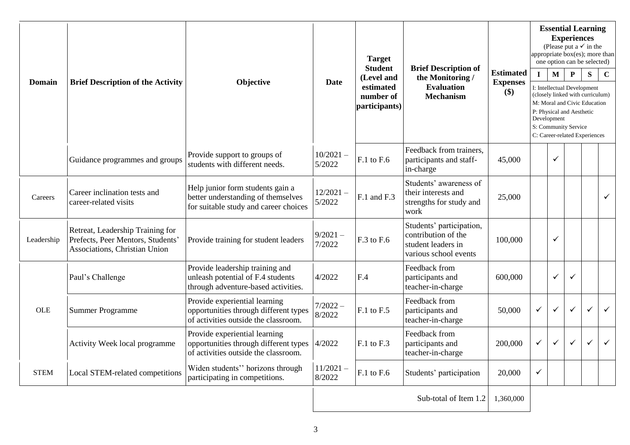| Domain      | <b>Brief Description of the Activity</b>                                                               | Objective                                                                                                       | <b>Date</b>           | <b>Target</b><br><b>Student</b><br>(Level and<br>estimated<br>number of<br>participants) | <b>Brief Description of</b><br>the Monitoring /<br><b>Evaluation</b><br><b>Mechanism</b>       | <b>Estimated</b><br><b>Expenses</b><br>\$) | $\mathbf I$  | <b>Essential Learning</b><br><b>Experiences</b><br>(Please put a $\checkmark$ in the<br>appropriate box(es); more than<br>one option can be selected)<br>$\mathbf{M}$<br>$\mathbf{P}$<br>S<br>I: Intellectual Development<br>(closely linked with curriculum)<br>M: Moral and Civic Education<br>P: Physical and Aesthetic<br>Development<br>S: Community Service<br>C: Career-related Experiences |              |   |              |  |
|-------------|--------------------------------------------------------------------------------------------------------|-----------------------------------------------------------------------------------------------------------------|-----------------------|------------------------------------------------------------------------------------------|------------------------------------------------------------------------------------------------|--------------------------------------------|--------------|----------------------------------------------------------------------------------------------------------------------------------------------------------------------------------------------------------------------------------------------------------------------------------------------------------------------------------------------------------------------------------------------------|--------------|---|--------------|--|
|             | Guidance programmes and groups                                                                         | Provide support to groups of<br>students with different needs.                                                  | $10/2021 -$<br>5/2022 | $F.1$ to $F.6$                                                                           | Feedback from trainers,<br>participants and staff-<br>in-charge                                | 45,000                                     |              | ✓                                                                                                                                                                                                                                                                                                                                                                                                  |              |   |              |  |
| Careers     | Career inclination tests and<br>career-related visits                                                  | Help junior form students gain a<br>better understanding of themselves<br>for suitable study and career choices | $12/2021 -$<br>5/2022 | F.1 and F.3                                                                              | Students' awareness of<br>their interests and<br>strengths for study and<br>work               | 25,000                                     |              |                                                                                                                                                                                                                                                                                                                                                                                                    |              |   | $\checkmark$ |  |
| Leadership  | Retreat, Leadership Training for<br>Prefects, Peer Mentors, Students'<br>Associations, Christian Union | Provide training for student leaders                                                                            | $9/2021 -$<br>7/2022  | F.3 to F.6                                                                               | Students' participation,<br>contribution of the<br>student leaders in<br>various school events | 100,000                                    |              | ✓                                                                                                                                                                                                                                                                                                                                                                                                  |              |   |              |  |
|             | Paul's Challenge                                                                                       | Provide leadership training and<br>unleash potential of F.4 students<br>through adventure-based activities.     | 4/2022                | F.4                                                                                      | Feedback from<br>participants and<br>teacher-in-charge                                         | 600,000                                    |              | $\checkmark$                                                                                                                                                                                                                                                                                                                                                                                       | $\checkmark$ |   |              |  |
| OLE         | <b>Summer Programme</b>                                                                                | Provide experiential learning<br>opportunities through different types<br>of activities outside the classroom.  | $7/2022 -$<br>8/2022  | F.1 to F.5                                                                               | Feedback from<br>participants and<br>teacher-in-charge                                         | 50,000                                     | $\checkmark$ | $\checkmark$                                                                                                                                                                                                                                                                                                                                                                                       | $\checkmark$ | ✓ | $\checkmark$ |  |
|             | Activity Week local programme                                                                          | Provide experiential learning<br>opportunities through different types<br>of activities outside the classroom.  | 4/2022                | $F.1$ to $F.3$                                                                           | Feedback from<br>participants and<br>teacher-in-charge                                         | 200,000                                    | $\checkmark$ | $\checkmark$                                                                                                                                                                                                                                                                                                                                                                                       | $\checkmark$ | ✓ | $\checkmark$ |  |
| <b>STEM</b> | Local STEM-related competitions                                                                        | Widen students" horizons through<br>participating in competitions.                                              | $11/2021 -$<br>8/2022 | F.1 to F.6                                                                               | Students' participation                                                                        | 20,000                                     | $\checkmark$ |                                                                                                                                                                                                                                                                                                                                                                                                    |              |   |              |  |
|             |                                                                                                        |                                                                                                                 |                       |                                                                                          | Sub-total of Item 1.2                                                                          | 1,360,000                                  |              |                                                                                                                                                                                                                                                                                                                                                                                                    |              |   |              |  |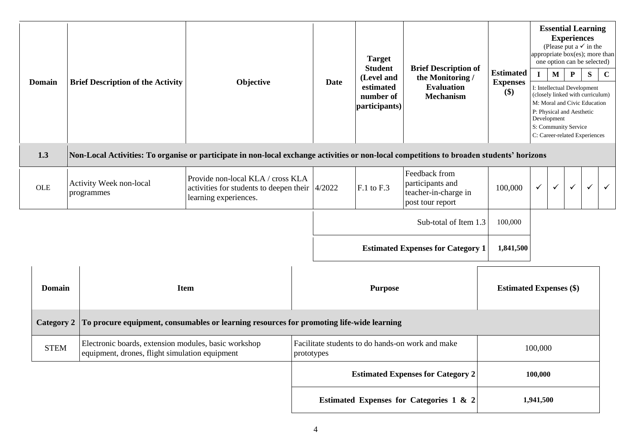| <b>Domain</b>                                                                                                                                    | <b>Brief Description of the Activity</b>                                                               | Objective                                                                                                                  |                                                                | <b>Date</b>           | <b>Target</b><br><b>Student</b><br>(Level and<br>estimated<br>number of<br>participants) | <b>Brief Description of</b><br>the Monitoring /<br><b>Evaluation</b><br><b>Mechanism</b> | <b>Estimated</b><br><b>Expenses</b><br>\$) | $\mathbf{I}$ | M<br>Development | <b>Essential Learning</b><br><b>Experiences</b><br>(Please put a $\checkmark$ in the<br>appropriate box(es); more than<br>one option can be selected)<br>$\mathbf P$<br>I: Intellectual Development<br>(closely linked with curriculum)<br>M: Moral and Civic Education<br>P: Physical and Aesthetic<br>S: Community Service<br>C: Career-related Experiences | S            | $\mathbf C$  |
|--------------------------------------------------------------------------------------------------------------------------------------------------|--------------------------------------------------------------------------------------------------------|----------------------------------------------------------------------------------------------------------------------------|----------------------------------------------------------------|-----------------------|------------------------------------------------------------------------------------------|------------------------------------------------------------------------------------------|--------------------------------------------|--------------|------------------|---------------------------------------------------------------------------------------------------------------------------------------------------------------------------------------------------------------------------------------------------------------------------------------------------------------------------------------------------------------|--------------|--------------|
| 1.3<br>Non-Local Activities: To organise or participate in non-local exchange activities or non-local competitions to broaden students' horizons |                                                                                                        |                                                                                                                            |                                                                |                       |                                                                                          |                                                                                          |                                            |              |                  |                                                                                                                                                                                                                                                                                                                                                               |              |              |
| <b>OLE</b>                                                                                                                                       | Activity Week non-local<br>programmes                                                                  | Provide non-local KLA / cross KLA<br>activities for students to deepen their $\vert 4/2022 \vert$<br>learning experiences. |                                                                |                       | F.1 to F.3                                                                               | Feedback from<br>participants and<br>teacher-in-charge in<br>post tour report            | 100,000                                    | $\checkmark$ | $\checkmark$     | $\checkmark$                                                                                                                                                                                                                                                                                                                                                  | $\checkmark$ | $\checkmark$ |
|                                                                                                                                                  |                                                                                                        |                                                                                                                            |                                                                | Sub-total of Item 1.3 |                                                                                          | 100,000                                                                                  |                                            |              |                  |                                                                                                                                                                                                                                                                                                                                                               |              |              |
|                                                                                                                                                  |                                                                                                        |                                                                                                                            | <b>Estimated Expenses for Category 1</b>                       |                       | 1,841,500                                                                                |                                                                                          |                                            |              |                  |                                                                                                                                                                                                                                                                                                                                                               |              |              |
| <b>Domain</b>                                                                                                                                    |                                                                                                        | <b>Item</b>                                                                                                                | <b>Purpose</b>                                                 |                       |                                                                                          | <b>Estimated Expenses (\$)</b>                                                           |                                            |              |                  |                                                                                                                                                                                                                                                                                                                                                               |              |              |
| To procure equipment, consumables or learning resources for promoting life-wide learning<br><b>Category 2</b>                                    |                                                                                                        |                                                                                                                            |                                                                |                       |                                                                                          |                                                                                          |                                            |              |                  |                                                                                                                                                                                                                                                                                                                                                               |              |              |
| <b>STEM</b>                                                                                                                                      | Electronic boards, extension modules, basic workshop<br>equipment, drones, flight simulation equipment |                                                                                                                            | Facilitate students to do hands-on work and make<br>prototypes |                       |                                                                                          |                                                                                          | 100,000                                    |              |                  |                                                                                                                                                                                                                                                                                                                                                               |              |              |
|                                                                                                                                                  |                                                                                                        |                                                                                                                            | <b>Estimated Expenses for Category 2</b>                       |                       |                                                                                          |                                                                                          | 100,000                                    |              |                  |                                                                                                                                                                                                                                                                                                                                                               |              |              |
|                                                                                                                                                  | Estimated Expenses for Categories 1 & 2                                                                |                                                                                                                            |                                                                |                       |                                                                                          |                                                                                          | 1,941,500                                  |              |                  |                                                                                                                                                                                                                                                                                                                                                               |              |              |